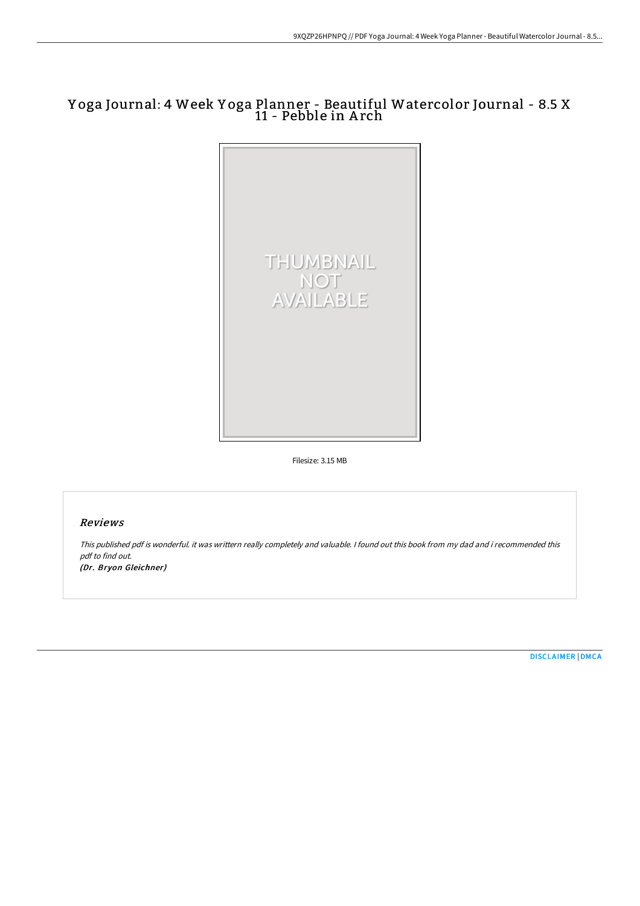# Y oga Journal: 4 Week Y oga Planner - Beautiful Watercolor Journal - 8.5 X 11 - Pebble in Arch



Filesize: 3.15 MB

## Reviews

This published pdf is wonderful. it was writtern really completely and valuable. I found out this book from my dad and i recommended this pdf to find out. (Dr. Bryon Gleichner)

[DISCLAIMER](http://digilib.live/disclaimer.html) | [DMCA](http://digilib.live/dmca.html)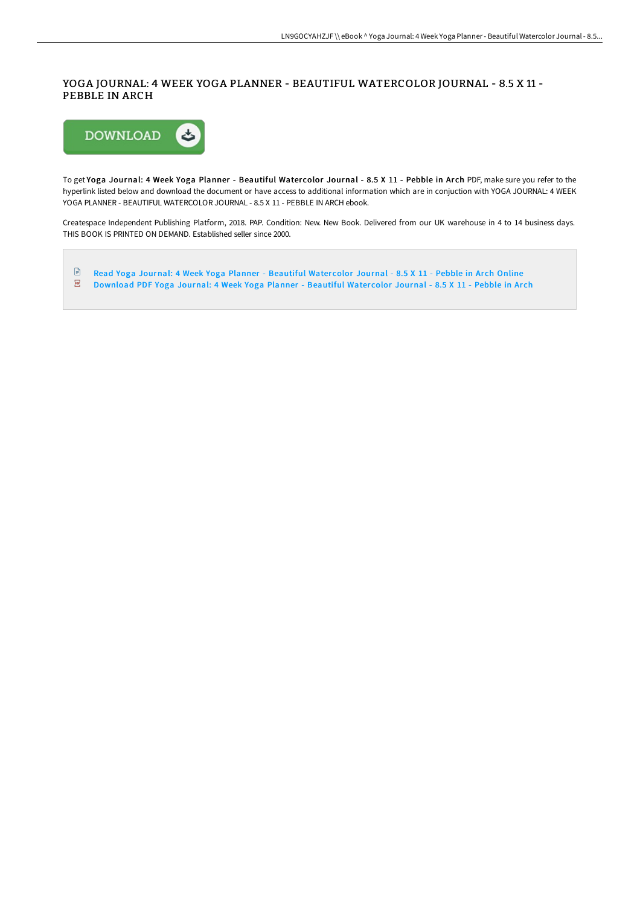### YOGA JOURNAL: 4 WEEK YOGA PLANNER - BEAUTIFUL WATERCOLOR JOURNAL - 8.5 X 11 - PEBBLE IN ARCH



To get Yoga Journal: 4 Week Yoga Planner - Beautiful Watercolor Journal - 8.5 X 11 - Pebble in Arch PDF, make sure you refer to the hyperlink listed below and download the document or have access to additional information which are in conjuction with YOGA JOURNAL: 4 WEEK YOGA PLANNER - BEAUTIFUL WATERCOLOR JOURNAL - 8.5 X 11 - PEBBLE IN ARCH ebook.

Createspace Independent Publishing Platform, 2018. PAP. Condition: New. New Book. Delivered from our UK warehouse in 4 to 14 business days. THIS BOOK IS PRINTED ON DEMAND. Established seller since 2000.

 $\mathbf{E}$ Read Yoga Journal: 4 Week Yoga Planner - [Beautiful](http://digilib.live/yoga-journal-4-week-yoga-planner-beautiful-water.html) Watercolor Journal - 8.5 X 11 - Pebble in Arch Online  $\overline{\phantom{a}}$ [Download](http://digilib.live/yoga-journal-4-week-yoga-planner-beautiful-water.html) PDF Yoga Journal: 4 Week Yoga Planner - Beautiful Watercolor Journal - 8.5 X 11 - Pebble in Arch